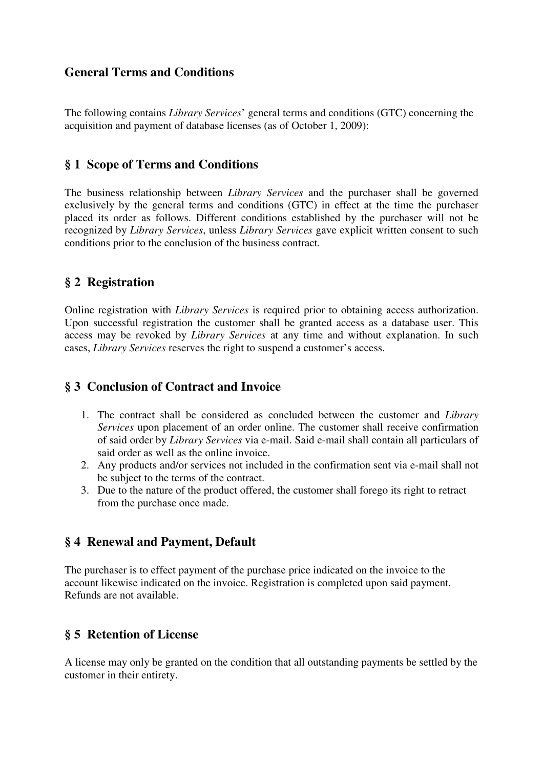#### **General Terms and Conditions**

The following contains *Library Services*' general terms and conditions (GTC) concerning the acquisition and payment of database licenses (as of October 1, 2009):

#### **§ 1 Scope of Terms and Conditions**

The business relationship between *Library Services* and the purchaser shall be governed exclusively by the general terms and conditions (GTC) in effect at the time the purchaser placed its order as follows. Different conditions established by the purchaser will not be recognized by *Library Services*, unless *Library Services* gave explicit written consent to such conditions prior to the conclusion of the business contract.

## **§ 2 Registration**

Online registration with *Library Services* is required prior to obtaining access authorization. Upon successful registration the customer shall be granted access as a database user. This access may be revoked by *Library Services* at any time and without explanation. In such cases, *Library Services* reserves the right to suspend a customer's access.

#### **§ 3 Conclusion of Contract and Invoice**

- 1. The contract shall be considered as concluded between the customer and *Library Services* upon placement of an order online. The customer shall receive confirmation of said order by *Library Services* via e-mail. Said e-mail shall contain all particulars of said order as well as the online invoice.
- 2. Any products and/or services not included in the confirmation sent via e-mail shall not be subject to the terms of the contract.
- 3. Due to the nature of the product offered, the customer shall forego its right to retract from the purchase once made.

## **§ 4 Renewal and Payment, Default**

The purchaser is to effect payment of the purchase price indicated on the invoice to the account likewise indicated on the invoice. Registration is completed upon said payment. Refunds are not available.

## **§ 5 Retention of License**

A license may only be granted on the condition that all outstanding payments be settled by the customer in their entirety.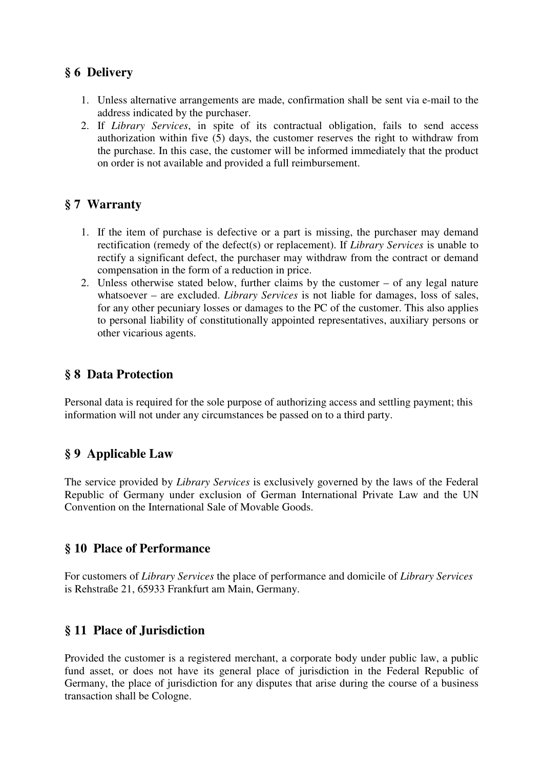# **§ 6 Delivery**

- 1. Unless alternative arrangements are made, confirmation shall be sent via e-mail to the address indicated by the purchaser.
- 2. If *Library Services*, in spite of its contractual obligation, fails to send access authorization within five (5) days, the customer reserves the right to withdraw from the purchase. In this case, the customer will be informed immediately that the product on order is not available and provided a full reimbursement.

# **§ 7 Warranty**

- 1. If the item of purchase is defective or a part is missing, the purchaser may demand rectification (remedy of the defect(s) or replacement). If *Library Services* is unable to rectify a significant defect, the purchaser may withdraw from the contract or demand compensation in the form of a reduction in price.
- 2. Unless otherwise stated below, further claims by the customer of any legal nature whatsoever – are excluded. *Library Services* is not liable for damages, loss of sales, for any other pecuniary losses or damages to the PC of the customer. This also applies to personal liability of constitutionally appointed representatives, auxiliary persons or other vicarious agents.

# **§ 8 Data Protection**

Personal data is required for the sole purpose of authorizing access and settling payment; this information will not under any circumstances be passed on to a third party.

# **§ 9 Applicable Law**

The service provided by *Library Services* is exclusively governed by the laws of the Federal Republic of Germany under exclusion of German International Private Law and the UN Convention on the International Sale of Movable Goods.

## **§ 10 Place of Performance**

For customers of *Library Services* the place of performance and domicile of *Library Services* is Rehstraße 21, 65933 Frankfurt am Main, Germany.

# **§ 11 Place of Jurisdiction**

Provided the customer is a registered merchant, a corporate body under public law, a public fund asset, or does not have its general place of jurisdiction in the Federal Republic of Germany, the place of jurisdiction for any disputes that arise during the course of a business transaction shall be Cologne.